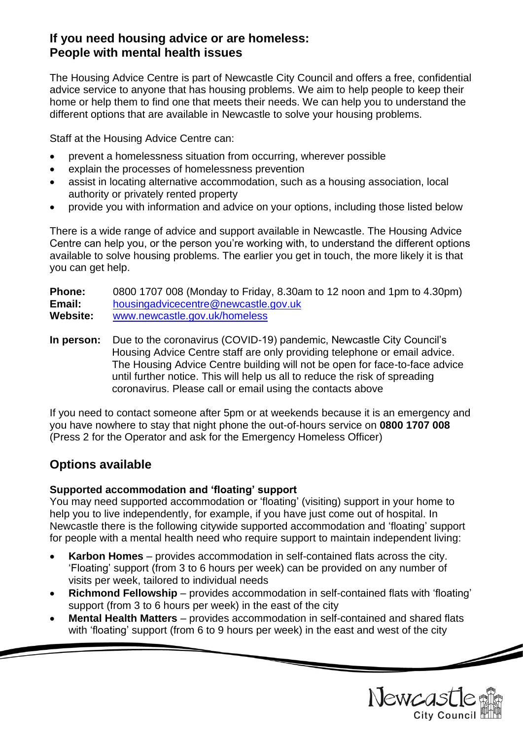# **If you need housing advice or are homeless: People with mental health issues**

The Housing Advice Centre is part of Newcastle City Council and offers a free, confidential advice service to anyone that has housing problems. We aim to help people to keep their home or help them to find one that meets their needs. We can help you to understand the different options that are available in Newcastle to solve your housing problems.

Staff at the Housing Advice Centre can:

- prevent a homelessness situation from occurring, wherever possible
- explain the processes of homelessness prevention
- assist in locating alternative accommodation, such as a housing association, local authority or privately rented property
- provide you with information and advice on your options, including those listed below

There is a wide range of advice and support available in Newcastle. The Housing Advice Centre can help you, or the person you're working with, to understand the different options available to solve housing problems. The earlier you get in touch, the more likely it is that you can get help.

**Phone:** 0800 1707 008 (Monday to Friday, 8.30am to 12 noon and 1pm to 4.30pm) **Email:** [housingadvicecentre@newcastle.gov.uk](mailto:housingadvicecentre@newcastle.gov.uk) **Website:** [www.newcastle.gov.uk/homeless](http://www.newcastle.gov.uk/homeless)

**In person:** Due to the coronavirus (COVID-19) pandemic, Newcastle City Council's Housing Advice Centre staff are only providing telephone or email advice. The Housing Advice Centre building will not be open for face-to-face advice until further notice. This will help us all to reduce the risk of spreading coronavirus. Please call or email using the contacts above

If you need to contact someone after 5pm or at weekends because it is an emergency and you have nowhere to stay that night phone the out-of-hours service on **0800 1707 008** (Press 2 for the Operator and ask for the Emergency Homeless Officer)

# **Options available**

### **Supported accommodation and 'floating' support**

You may need supported accommodation or 'floating' (visiting) support in your home to help you to live independently, for example, if you have just come out of hospital. In Newcastle there is the following citywide supported accommodation and 'floating' support for people with a mental health need who require support to maintain independent living:

- **Karbon Homes** provides accommodation in self-contained flats across the city. 'Floating' support (from 3 to 6 hours per week) can be provided on any number of visits per week, tailored to individual needs
- **Richmond Fellowship** provides accommodation in self-contained flats with 'floating' support (from 3 to 6 hours per week) in the east of the city
- **Mental Health Matters** provides accommodation in self-contained and shared flats with 'floating' support (from 6 to 9 hours per week) in the east and west of the city

Newcast

 $\overline{\mathscr{L}}$